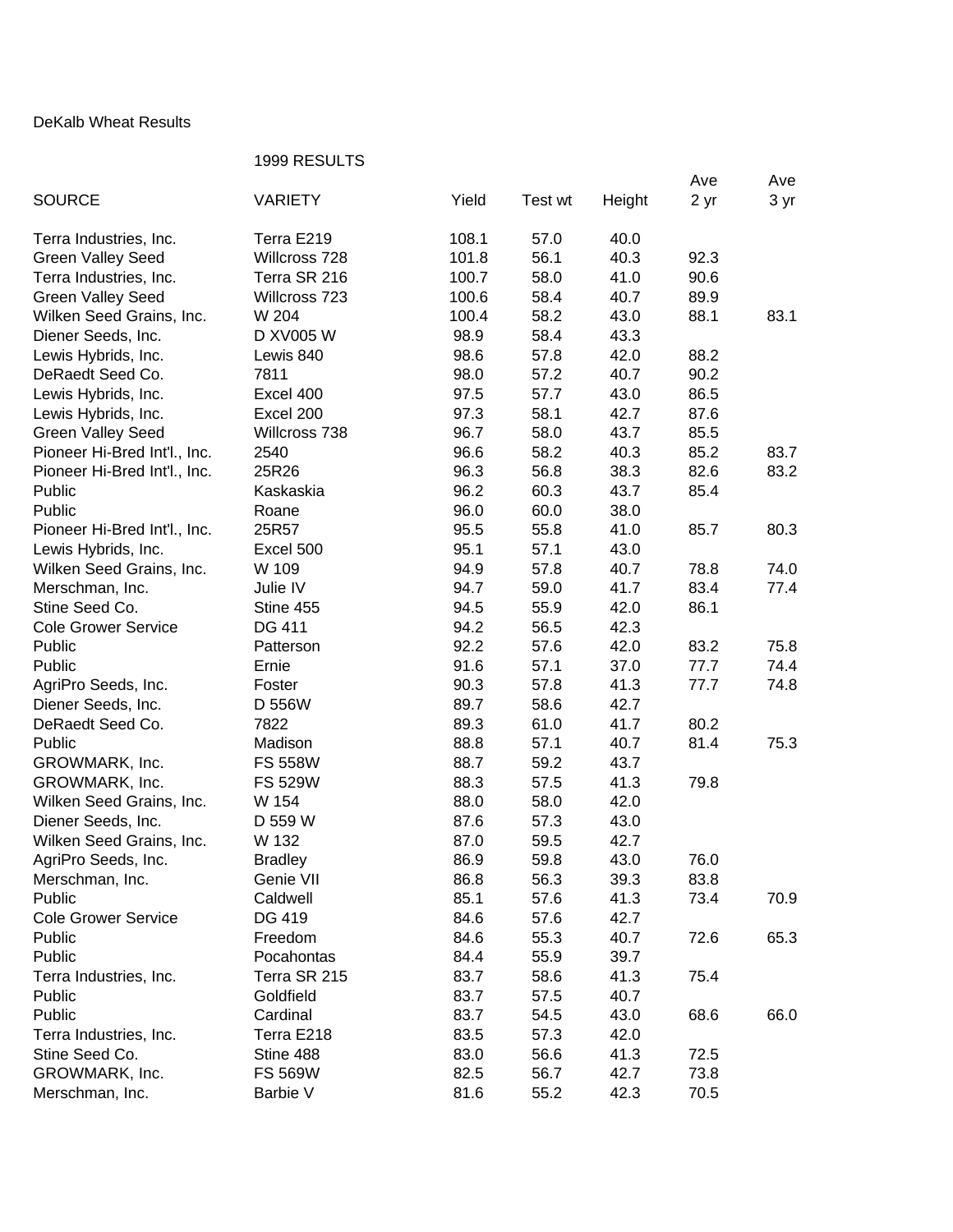## DeKalb Wheat Results

## 1999 RESULTS

|                              |                |       |         |        | Ave  | Ave  |
|------------------------------|----------------|-------|---------|--------|------|------|
| <b>SOURCE</b>                | <b>VARIETY</b> | Yield | Test wt | Height | 2 yr | 3 yr |
| Terra Industries, Inc.       | Terra E219     | 108.1 | 57.0    | 40.0   |      |      |
| <b>Green Valley Seed</b>     | Willcross 728  | 101.8 | 56.1    | 40.3   | 92.3 |      |
| Terra Industries, Inc.       | Terra SR 216   | 100.7 | 58.0    | 41.0   | 90.6 |      |
| <b>Green Valley Seed</b>     | Willcross 723  | 100.6 | 58.4    | 40.7   | 89.9 |      |
| Wilken Seed Grains, Inc.     | W 204          | 100.4 | 58.2    | 43.0   | 88.1 | 83.1 |
| Diener Seeds, Inc.           | D XV005 W      | 98.9  | 58.4    | 43.3   |      |      |
| Lewis Hybrids, Inc.          | Lewis 840      | 98.6  | 57.8    | 42.0   | 88.2 |      |
| DeRaedt Seed Co.             | 7811           | 98.0  | 57.2    | 40.7   | 90.2 |      |
| Lewis Hybrids, Inc.          | Excel 400      | 97.5  | 57.7    | 43.0   | 86.5 |      |
| Lewis Hybrids, Inc.          | Excel 200      | 97.3  | 58.1    | 42.7   | 87.6 |      |
| <b>Green Valley Seed</b>     | Willcross 738  | 96.7  | 58.0    | 43.7   | 85.5 |      |
| Pioneer Hi-Bred Int'l., Inc. | 2540           | 96.6  | 58.2    | 40.3   | 85.2 | 83.7 |
| Pioneer Hi-Bred Int'l., Inc. | 25R26          | 96.3  | 56.8    | 38.3   | 82.6 | 83.2 |
| Public                       | Kaskaskia      | 96.2  | 60.3    | 43.7   | 85.4 |      |
| Public                       | Roane          | 96.0  | 60.0    | 38.0   |      |      |
| Pioneer Hi-Bred Int'l., Inc. | 25R57          | 95.5  | 55.8    | 41.0   | 85.7 | 80.3 |
| Lewis Hybrids, Inc.          | Excel 500      | 95.1  | 57.1    | 43.0   |      |      |
| Wilken Seed Grains, Inc.     | W 109          | 94.9  | 57.8    | 40.7   | 78.8 | 74.0 |
| Merschman, Inc.              | Julie IV       | 94.7  | 59.0    | 41.7   | 83.4 | 77.4 |
| Stine Seed Co.               | Stine 455      | 94.5  | 55.9    | 42.0   | 86.1 |      |
| <b>Cole Grower Service</b>   | DG 411         | 94.2  | 56.5    | 42.3   |      |      |
| Public                       | Patterson      | 92.2  | 57.6    | 42.0   | 83.2 | 75.8 |
| Public                       | Ernie          | 91.6  | 57.1    | 37.0   | 77.7 | 74.4 |
| AgriPro Seeds, Inc.          | Foster         | 90.3  | 57.8    | 41.3   | 77.7 | 74.8 |
| Diener Seeds, Inc.           | D 556W         | 89.7  | 58.6    | 42.7   |      |      |
| DeRaedt Seed Co.             | 7822           | 89.3  | 61.0    | 41.7   | 80.2 |      |
| Public                       | Madison        | 88.8  | 57.1    | 40.7   | 81.4 | 75.3 |
| GROWMARK, Inc.               | <b>FS 558W</b> | 88.7  | 59.2    | 43.7   |      |      |
| GROWMARK, Inc.               | <b>FS 529W</b> | 88.3  | 57.5    | 41.3   | 79.8 |      |
| Wilken Seed Grains, Inc.     | W 154          | 88.0  | 58.0    | 42.0   |      |      |
| Diener Seeds, Inc.           | D 559 W        | 87.6  | 57.3    | 43.0   |      |      |
| Wilken Seed Grains, Inc.     | W 132          | 87.0  | 59.5    | 42.7   |      |      |
| AgriPro Seeds, Inc.          | <b>Bradley</b> | 86.9  | 59.8    | 43.0   | 76.0 |      |
| Merschman, Inc.              | Genie VII      | 86.8  | 56.3    | 39.3   | 83.8 |      |
| Public                       | Caldwell       | 85.1  | 57.6    | 41.3   | 73.4 | 70.9 |
| <b>Cole Grower Service</b>   | DG 419         | 84.6  | 57.6    | 42.7   |      |      |
| Public                       | Freedom        | 84.6  | 55.3    | 40.7   | 72.6 | 65.3 |
| Public                       | Pocahontas     | 84.4  | 55.9    | 39.7   |      |      |
| Terra Industries, Inc.       | Terra SR 215   | 83.7  | 58.6    | 41.3   | 75.4 |      |
| Public                       | Goldfield      | 83.7  | 57.5    | 40.7   |      |      |
| Public                       | Cardinal       | 83.7  | 54.5    | 43.0   | 68.6 | 66.0 |
| Terra Industries, Inc.       | Terra E218     | 83.5  | 57.3    | 42.0   |      |      |
| Stine Seed Co.               | Stine 488      | 83.0  | 56.6    | 41.3   | 72.5 |      |
| GROWMARK, Inc.               | <b>FS 569W</b> | 82.5  | 56.7    | 42.7   | 73.8 |      |
| Merschman, Inc.              | Barbie V       | 81.6  | 55.2    | 42.3   | 70.5 |      |
|                              |                |       |         |        |      |      |